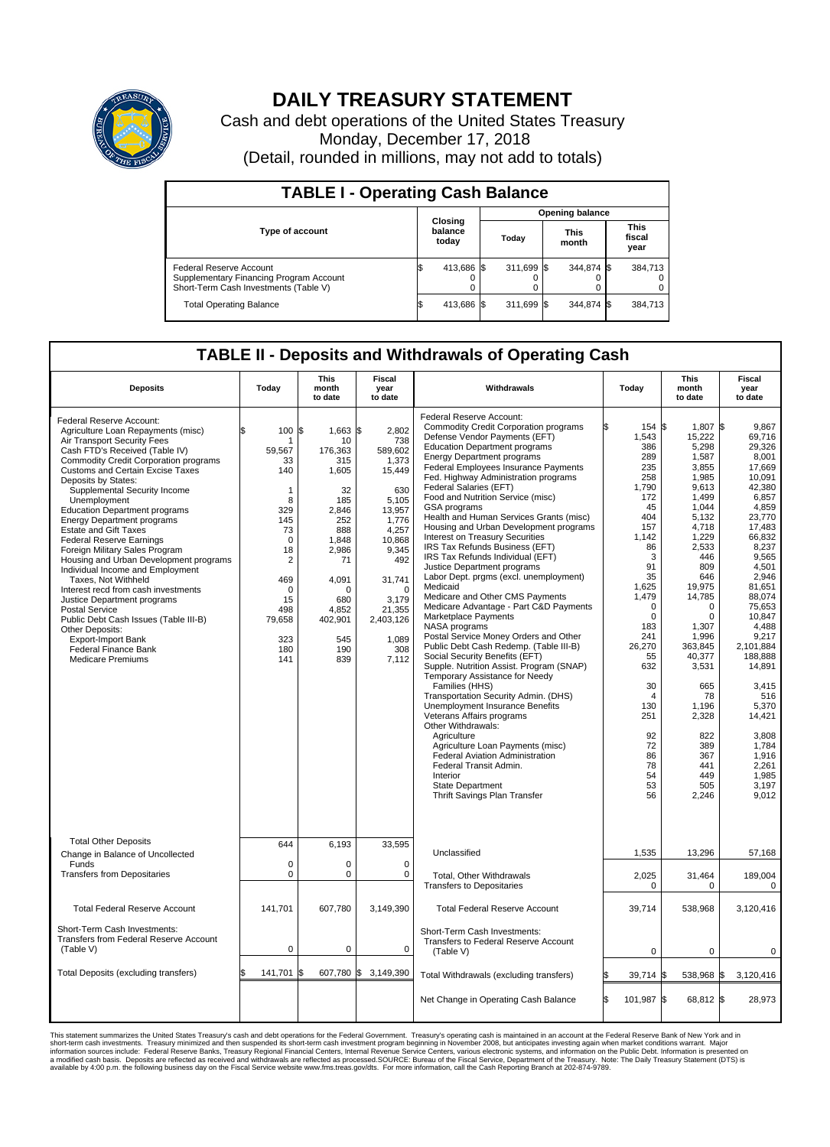

## **DAILY TREASURY STATEMENT**

Cash and debt operations of the United States Treasury Monday, December 17, 2018 (Detail, rounded in millions, may not add to totals)

| <b>TABLE I - Operating Cash Balance</b>                                                                     |    |                             |  |                        |  |                      |  |                               |  |  |  |
|-------------------------------------------------------------------------------------------------------------|----|-----------------------------|--|------------------------|--|----------------------|--|-------------------------------|--|--|--|
|                                                                                                             |    |                             |  | <b>Opening balance</b> |  |                      |  |                               |  |  |  |
| <b>Type of account</b>                                                                                      |    | Closing<br>balance<br>today |  | Today                  |  | <b>This</b><br>month |  | <b>This</b><br>fiscal<br>year |  |  |  |
| Federal Reserve Account<br>Supplementary Financing Program Account<br>Short-Term Cash Investments (Table V) |    | 413,686 \$                  |  | 311.699 \$             |  | 344.874 \$           |  | 384,713                       |  |  |  |
| <b>Total Operating Balance</b>                                                                              | IЭ | 413,686 \$                  |  | 311,699 \$             |  | 344,874 \$           |  | 384,713                       |  |  |  |

## **TABLE II - Deposits and Withdrawals of Operating Cash**

| <b>Deposits</b>                                                                                                                                                                                                                                                                                                                                                                                                                                                                                                                                                                                                                                                                                                                                                                                                 | Today                                                                                                                                                                                 | This<br>month<br>to date                                                                                                                                                     | Fiscal<br>year<br>to date                                                                                                                                                                       | Withdrawals                                                                                                                                                                                                                                                                                                                                                                                                                                                                                                                                                                                                                                                                                                                                                                                                                                                                                                                                                                                                                                                                                                                                                                                                                                                                                              | Today                                                                                                                                                                                                                                                                                | <b>This</b><br>month<br>to date                                                                                                                                                                                                                                                                                                | Fiscal<br>year<br>to date                                                                                                                                                                                                                                                                                                                          |
|-----------------------------------------------------------------------------------------------------------------------------------------------------------------------------------------------------------------------------------------------------------------------------------------------------------------------------------------------------------------------------------------------------------------------------------------------------------------------------------------------------------------------------------------------------------------------------------------------------------------------------------------------------------------------------------------------------------------------------------------------------------------------------------------------------------------|---------------------------------------------------------------------------------------------------------------------------------------------------------------------------------------|------------------------------------------------------------------------------------------------------------------------------------------------------------------------------|-------------------------------------------------------------------------------------------------------------------------------------------------------------------------------------------------|----------------------------------------------------------------------------------------------------------------------------------------------------------------------------------------------------------------------------------------------------------------------------------------------------------------------------------------------------------------------------------------------------------------------------------------------------------------------------------------------------------------------------------------------------------------------------------------------------------------------------------------------------------------------------------------------------------------------------------------------------------------------------------------------------------------------------------------------------------------------------------------------------------------------------------------------------------------------------------------------------------------------------------------------------------------------------------------------------------------------------------------------------------------------------------------------------------------------------------------------------------------------------------------------------------|--------------------------------------------------------------------------------------------------------------------------------------------------------------------------------------------------------------------------------------------------------------------------------------|--------------------------------------------------------------------------------------------------------------------------------------------------------------------------------------------------------------------------------------------------------------------------------------------------------------------------------|----------------------------------------------------------------------------------------------------------------------------------------------------------------------------------------------------------------------------------------------------------------------------------------------------------------------------------------------------|
| Federal Reserve Account:<br>Agriculture Loan Repayments (misc)<br>Air Transport Security Fees<br>Cash FTD's Received (Table IV)<br>Commodity Credit Corporation programs<br>Customs and Certain Excise Taxes<br>Deposits by States:<br>Supplemental Security Income<br>Unemployment<br><b>Education Department programs</b><br><b>Energy Department programs</b><br><b>Estate and Gift Taxes</b><br><b>Federal Reserve Earnings</b><br>Foreign Military Sales Program<br>Housing and Urban Development programs<br>Individual Income and Employment<br>Taxes. Not Withheld<br>Interest recd from cash investments<br>Justice Department programs<br>Postal Service<br>Public Debt Cash Issues (Table III-B)<br>Other Deposits:<br><b>Export-Import Bank</b><br>Federal Finance Bank<br><b>Medicare Premiums</b> | \$<br>100<br>-1<br>59,567<br>33<br>140<br>$\mathbf{1}$<br>8<br>329<br>145<br>73<br>$\mathbf 0$<br>18<br>$\overline{2}$<br>469<br>$\Omega$<br>15<br>498<br>79,658<br>323<br>180<br>141 | l\$<br>$1,663$ \$<br>10<br>176,363<br>315<br>1,605<br>32<br>185<br>2.846<br>252<br>888<br>1,848<br>2,986<br>71<br>4,091<br>∩<br>680<br>4,852<br>402,901<br>545<br>190<br>839 | 2,802<br>738<br>589,602<br>1,373<br>15,449<br>630<br>5,105<br>13,957<br>1,776<br>4,257<br>10,868<br>9,345<br>492<br>31,741<br>$\Omega$<br>3,179<br>21,355<br>2,403,126<br>1,089<br>308<br>7,112 | Federal Reserve Account:<br><b>Commodity Credit Corporation programs</b><br>Defense Vendor Payments (EFT)<br><b>Education Department programs</b><br><b>Energy Department programs</b><br>Federal Employees Insurance Payments<br>Fed. Highway Administration programs<br>Federal Salaries (EFT)<br>Food and Nutrition Service (misc)<br>GSA programs<br>Health and Human Services Grants (misc)<br>Housing and Urban Development programs<br>Interest on Treasury Securities<br>IRS Tax Refunds Business (EFT)<br>IRS Tax Refunds Individual (EFT)<br>Justice Department programs<br>Labor Dept. prgms (excl. unemployment)<br>Medicaid<br>Medicare and Other CMS Payments<br>Medicare Advantage - Part C&D Payments<br>Marketplace Payments<br>NASA programs<br>Postal Service Money Orders and Other<br>Public Debt Cash Redemp. (Table III-B)<br>Social Security Benefits (EFT)<br>Supple. Nutrition Assist. Program (SNAP)<br>Temporary Assistance for Needy<br>Families (HHS)<br>Transportation Security Admin. (DHS)<br><b>Unemployment Insurance Benefits</b><br>Veterans Affairs programs<br>Other Withdrawals:<br>Agriculture<br>Agriculture Loan Payments (misc)<br>Federal Aviation Administration<br>Federal Transit Admin.<br>Interior<br>State Department<br>Thrift Savings Plan Transfer | 154 \$<br>1,543<br>386<br>289<br>235<br>258<br>1,790<br>172<br>45<br>404<br>157<br>1,142<br>86<br>3<br>91<br>35<br>1,625<br>1,479<br>$\mathbf 0$<br>$\mathbf 0$<br>183<br>241<br>26,270<br>55<br>632<br>30<br>$\overline{4}$<br>130<br>251<br>92<br>72<br>86<br>78<br>54<br>53<br>56 | 1,807 \$<br>15,222<br>5,298<br>1,587<br>3.855<br>1,985<br>9,613<br>1,499<br>1,044<br>5,132<br>4,718<br>1,229<br>2,533<br>446<br>809<br>646<br>19.975<br>14,785<br>$\mathbf 0$<br>$\mathbf 0$<br>1,307<br>1,996<br>363,845<br>40,377<br>3,531<br>665<br>78<br>1.196<br>2,328<br>822<br>389<br>367<br>441<br>449<br>505<br>2,246 | 9.867<br>69,716<br>29.326<br>8,001<br>17,669<br>10,091<br>42,380<br>6,857<br>4,859<br>23.770<br>17,483<br>66,832<br>8,237<br>9.565<br>4,501<br>2,946<br>81.651<br>88,074<br>75,653<br>10,847<br>4.488<br>9,217<br>2,101,884<br>188,888<br>14,891<br>3,415<br>516<br>5,370<br>14,421<br>3,808<br>1.784<br>1,916<br>2,261<br>1.985<br>3,197<br>9,012 |
| <b>Total Other Deposits</b><br>Change in Balance of Uncollected                                                                                                                                                                                                                                                                                                                                                                                                                                                                                                                                                                                                                                                                                                                                                 | 644                                                                                                                                                                                   | 6,193                                                                                                                                                                        | 33,595                                                                                                                                                                                          | Unclassified                                                                                                                                                                                                                                                                                                                                                                                                                                                                                                                                                                                                                                                                                                                                                                                                                                                                                                                                                                                                                                                                                                                                                                                                                                                                                             | 1,535                                                                                                                                                                                                                                                                                | 13,296                                                                                                                                                                                                                                                                                                                         | 57,168                                                                                                                                                                                                                                                                                                                                             |
| Funds<br><b>Transfers from Depositaries</b>                                                                                                                                                                                                                                                                                                                                                                                                                                                                                                                                                                                                                                                                                                                                                                     | $\Omega$<br>$\mathbf 0$                                                                                                                                                               | $\Omega$<br>0                                                                                                                                                                | $\Omega$<br>0                                                                                                                                                                                   | Total, Other Withdrawals<br><b>Transfers to Depositaries</b>                                                                                                                                                                                                                                                                                                                                                                                                                                                                                                                                                                                                                                                                                                                                                                                                                                                                                                                                                                                                                                                                                                                                                                                                                                             | 2,025<br>0                                                                                                                                                                                                                                                                           | 31,464<br>$\mathbf 0$                                                                                                                                                                                                                                                                                                          | 189,004<br>0                                                                                                                                                                                                                                                                                                                                       |
| <b>Total Federal Reserve Account</b>                                                                                                                                                                                                                                                                                                                                                                                                                                                                                                                                                                                                                                                                                                                                                                            | 141,701                                                                                                                                                                               | 607,780                                                                                                                                                                      | 3,149,390                                                                                                                                                                                       | <b>Total Federal Reserve Account</b>                                                                                                                                                                                                                                                                                                                                                                                                                                                                                                                                                                                                                                                                                                                                                                                                                                                                                                                                                                                                                                                                                                                                                                                                                                                                     | 39,714                                                                                                                                                                                                                                                                               | 538,968                                                                                                                                                                                                                                                                                                                        | 3,120,416                                                                                                                                                                                                                                                                                                                                          |
| Short-Term Cash Investments:<br>Transfers from Federal Reserve Account<br>(Table V)                                                                                                                                                                                                                                                                                                                                                                                                                                                                                                                                                                                                                                                                                                                             | $\mathbf 0$                                                                                                                                                                           | 0                                                                                                                                                                            | $\mathbf 0$                                                                                                                                                                                     | Short-Term Cash Investments:<br>Transfers to Federal Reserve Account<br>(Table V)                                                                                                                                                                                                                                                                                                                                                                                                                                                                                                                                                                                                                                                                                                                                                                                                                                                                                                                                                                                                                                                                                                                                                                                                                        | $\Omega$                                                                                                                                                                                                                                                                             | $\Omega$                                                                                                                                                                                                                                                                                                                       | $\Omega$                                                                                                                                                                                                                                                                                                                                           |
| Total Deposits (excluding transfers)                                                                                                                                                                                                                                                                                                                                                                                                                                                                                                                                                                                                                                                                                                                                                                            | l\$<br>141,701                                                                                                                                                                        | 607,780 \$<br>ß                                                                                                                                                              | 3,149,390                                                                                                                                                                                       | Total Withdrawals (excluding transfers)                                                                                                                                                                                                                                                                                                                                                                                                                                                                                                                                                                                                                                                                                                                                                                                                                                                                                                                                                                                                                                                                                                                                                                                                                                                                  | 39,714                                                                                                                                                                                                                                                                               | <b>S</b><br>538,968                                                                                                                                                                                                                                                                                                            | 3,120,416<br>1\$                                                                                                                                                                                                                                                                                                                                   |
|                                                                                                                                                                                                                                                                                                                                                                                                                                                                                                                                                                                                                                                                                                                                                                                                                 |                                                                                                                                                                                       |                                                                                                                                                                              |                                                                                                                                                                                                 | Net Change in Operating Cash Balance                                                                                                                                                                                                                                                                                                                                                                                                                                                                                                                                                                                                                                                                                                                                                                                                                                                                                                                                                                                                                                                                                                                                                                                                                                                                     | l\$<br>101,987 \$                                                                                                                                                                                                                                                                    | 68.812 \$                                                                                                                                                                                                                                                                                                                      | 28.973                                                                                                                                                                                                                                                                                                                                             |

This statement summarizes the United States Treasury's cash and debt operations for the Federal Government. Treasury soperating in November 2008, but anticiarded in a cocount at the Federal Reserve Bank of New York and in<br>